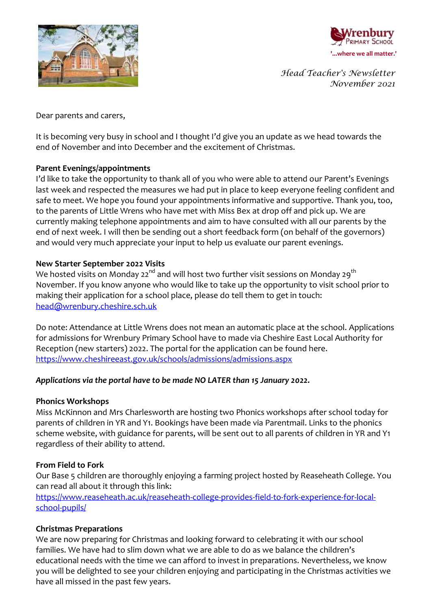



*Head Teacher's Newsletter November 2021*

Dear parents and carers,

It is becoming very busy in school and I thought I'd give you an update as we head towards the end of November and into December and the excitement of Christmas.

### **Parent Evenings/appointments**

I'd like to take the opportunity to thank all of you who were able to attend our Parent's Evenings last week and respected the measures we had put in place to keep everyone feeling confident and safe to meet. We hope you found your appointments informative and supportive. Thank you, too, to the parents of Little Wrens who have met with Miss Bex at drop off and pick up. We are currently making telephone appointments and aim to have consulted with all our parents by the end of next week. I will then be sending out a short feedback form (on behalf of the governors) and would very much appreciate your input to help us evaluate our parent evenings.

## **New Starter September 2022 Visits**

We hosted visits on Monday 22<sup>nd</sup> and will host two further visit sessions on Monday 29<sup>th</sup> November. If you know anyone who would like to take up the opportunity to visit school prior to making their application for a school place, please do tell them to get in touch: [head@wrenbury.cheshire.sch.uk](mailto:head@wrenbury.cheshire.sch.uk)

Do note: Attendance at Little Wrens does not mean an automatic place at the school. Applications for admissions for Wrenbury Primary School have to made via Cheshire East Local Authority for Reception (new starters) 2022. The portal for the application can be found here. <https://www.cheshireeast.gov.uk/schools/admissions/admissions.aspx>

# *Applications via the portal have to be made NO LATER than 15 January 2022.*

### **Phonics Workshops**

Miss McKinnon and Mrs Charlesworth are hosting two Phonics workshops after school today for parents of children in YR and Y1. Bookings have been made via Parentmail. Links to the phonics scheme website, with guidance for parents, will be sent out to all parents of children in YR and Y1 regardless of their ability to attend.

### **From Field to Fork**

Our Base 5 children are thoroughly enjoying a farming project hosted by Reaseheath College. You can read all about it through this link:

[https://www.reaseheath.ac.uk/reaseheath-college-provides-field-to-fork-experience-for-local](https://www.reaseheath.ac.uk/reaseheath-college-provides-field-to-fork-experience-for-local-school-pupils/)[school-pupils/](https://www.reaseheath.ac.uk/reaseheath-college-provides-field-to-fork-experience-for-local-school-pupils/)

# **Christmas Preparations**

We are now preparing for Christmas and looking forward to celebrating it with our school families. We have had to slim down what we are able to do as we balance the children's educational needs with the time we can afford to invest in preparations. Nevertheless, we know you will be delighted to see your children enjoying and participating in the Christmas activities we have all missed in the past few years.